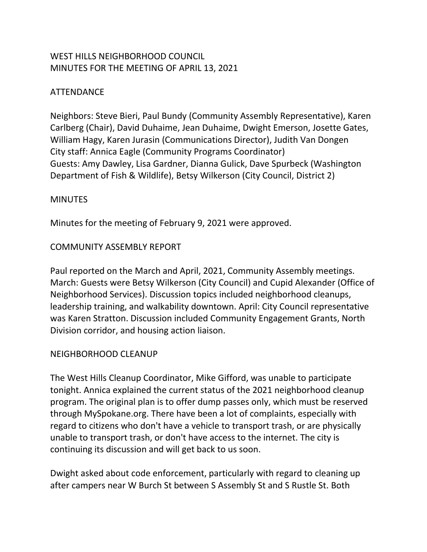# WEST HILLS NEIGHBORHOOD COUNCIL MINUTES FOR THE MEETING OF APRIL 13, 2021

# ATTENDANCE

Neighbors: Steve Bieri, Paul Bundy (Community Assembly Representative), Karen Carlberg (Chair), David Duhaime, Jean Duhaime, Dwight Emerson, Josette Gates, William Hagy, Karen Jurasin (Communications Director), Judith Van Dongen City staff: Annica Eagle (Community Programs Coordinator) Guests: Amy Dawley, Lisa Gardner, Dianna Gulick, Dave Spurbeck (Washington Department of Fish & Wildlife), Betsy Wilkerson (City Council, District 2)

### MINUTES

Minutes for the meeting of February 9, 2021 were approved.

## COMMUNITY ASSEMBLY REPORT

Paul reported on the March and April, 2021, Community Assembly meetings. March: Guests were Betsy Wilkerson (City Council) and Cupid Alexander (Office of Neighborhood Services). Discussion topics included neighborhood cleanups, leadership training, and walkability downtown. April: City Council representative was Karen Stratton. Discussion included Community Engagement Grants, North Division corridor, and housing action liaison.

### NEIGHBORHOOD CLEANUP

The West Hills Cleanup Coordinator, Mike Gifford, was unable to participate tonight. Annica explained the current status of the 2021 neighborhood cleanup program. The original plan is to offer dump passes only, which must be reserved through MySpokane.org. There have been a lot of complaints, especially with regard to citizens who don't have a vehicle to transport trash, or are physically unable to transport trash, or don't have access to the internet. The city is continuing its discussion and will get back to us soon.

Dwight asked about code enforcement, particularly with regard to cleaning up after campers near W Burch St between S Assembly St and S Rustle St. Both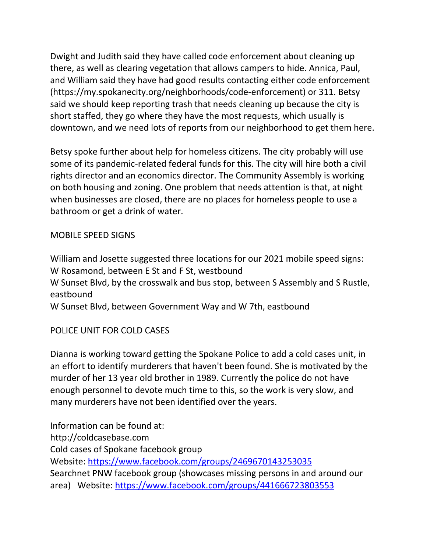Dwight and Judith said they have called code enforcement about cleaning up there, as well as clearing vegetation that allows campers to hide. Annica, Paul, and William said they have had good results contacting either code enforcement (https://my.spokanecity.org/neighborhoods/code-enforcement) or 311. Betsy said we should keep reporting trash that needs cleaning up because the city is short staffed, they go where they have the most requests, which usually is downtown, and we need lots of reports from our neighborhood to get them here.

Betsy spoke further about help for homeless citizens. The city probably will use some of its pandemic-related federal funds for this. The city will hire both a civil rights director and an economics director. The Community Assembly is working on both housing and zoning. One problem that needs attention is that, at night when businesses are closed, there are no places for homeless people to use a bathroom or get a drink of water.

### MOBILE SPEED SIGNS

William and Josette suggested three locations for our 2021 mobile speed signs: W Rosamond, between E St and F St, westbound W Sunset Blvd, by the crosswalk and bus stop, between S Assembly and S Rustle, eastbound W Sunset Blvd, between Government Way and W 7th, eastbound

### POLICE UNIT FOR COLD CASES

Dianna is working toward getting the Spokane Police to add a cold cases unit, in an effort to identify murderers that haven't been found. She is motivated by the murder of her 13 year old brother in 1989. Currently the police do not have enough personnel to devote much time to this, so the work is very slow, and many murderers have not been identified over the years.

Information can be found at: http://coldcasebase.com Cold cases of Spokane facebook group Website: <https://www.facebook.com/groups/2469670143253035> Searchnet PNW facebook group (showcases missing persons in and around our area) Website: <https://www.facebook.com/groups/441666723803553>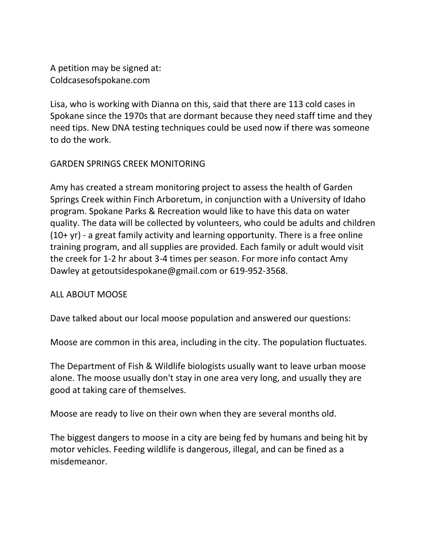A petition may be signed at: Coldcasesofspokane.com

Lisa, who is working with Dianna on this, said that there are 113 cold cases in Spokane since the 1970s that are dormant because they need staff time and they need tips. New DNA testing techniques could be used now if there was someone to do the work.

### GARDEN SPRINGS CREEK MONITORING

Amy has created a stream monitoring project to assess the health of Garden Springs Creek within Finch Arboretum, in conjunction with a University of Idaho program. Spokane Parks & Recreation would like to have this data on water quality. The data will be collected by volunteers, who could be adults and children (10+ yr) - a great family activity and learning opportunity. There is a free online training program, and all supplies are provided. Each family or adult would visit the creek for 1-2 hr about 3-4 times per season. For more info contact Amy Dawley at getoutsidespokane@gmail.com or 619-952-3568.

### ALL ABOUT MOOSE

Dave talked about our local moose population and answered our questions:

Moose are common in this area, including in the city. The population fluctuates.

The Department of Fish & Wildlife biologists usually want to leave urban moose alone. The moose usually don't stay in one area very long, and usually they are good at taking care of themselves.

Moose are ready to live on their own when they are several months old.

The biggest dangers to moose in a city are being fed by humans and being hit by motor vehicles. Feeding wildlife is dangerous, illegal, and can be fined as a misdemeanor.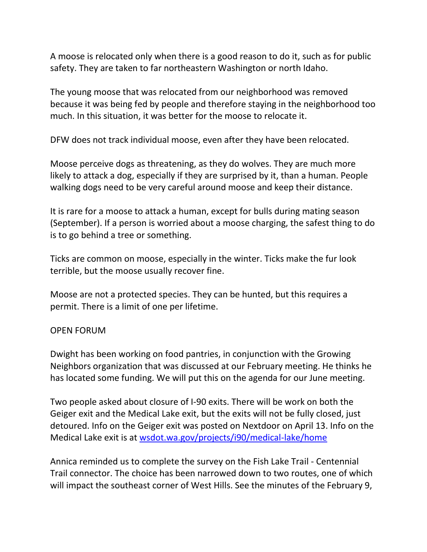A moose is relocated only when there is a good reason to do it, such as for public safety. They are taken to far northeastern Washington or north Idaho.

The young moose that was relocated from our neighborhood was removed because it was being fed by people and therefore staying in the neighborhood too much. In this situation, it was better for the moose to relocate it.

DFW does not track individual moose, even after they have been relocated.

Moose perceive dogs as threatening, as they do wolves. They are much more likely to attack a dog, especially if they are surprised by it, than a human. People walking dogs need to be very careful around moose and keep their distance.

It is rare for a moose to attack a human, except for bulls during mating season (September). If a person is worried about a moose charging, the safest thing to do is to go behind a tree or something.

Ticks are common on moose, especially in the winter. Ticks make the fur look terrible, but the moose usually recover fine.

Moose are not a protected species. They can be hunted, but this requires a permit. There is a limit of one per lifetime.

### OPEN FORUM

Dwight has been working on food pantries, in conjunction with the Growing Neighbors organization that was discussed at our February meeting. He thinks he has located some funding. We will put this on the agenda for our June meeting.

Two people asked about closure of I-90 exits. There will be work on both the Geiger exit and the Medical Lake exit, but the exits will not be fully closed, just detoured. Info on the Geiger exit was posted on Nextdoor on April 13. Info on the Medical Lake exit is at [wsdot.wa.gov/projects/i90/medical-lake/home](https://lnks.gd/l/eyJhbGciOiJIUzI1NiJ9.eyJidWxsZXRpbl9saW5rX2lkIjoxMDQsInVyaSI6ImJwMjpjbGljayIsImJ1bGxldGluX2lkIjoiMjAyMTA0MTUuMzg4Nzk0OTEiLCJ1cmwiOiJodHRwczovL3d3dy53c2RvdC53YS5nb3YvcHJvamVjdHMvaTkwL21lZGljYWwtbGFrZS9ob21lIn0.vTcrG8uB8TkZc7Bp2R6AVJGVW4xn1_ZyYr4Dkf4O_AA/s/391847205/br/102364971714-l)

Annica reminded us to complete the survey on the Fish Lake Trail - Centennial Trail connector. The choice has been narrowed down to two routes, one of which will impact the southeast corner of West Hills. See the minutes of the February 9,